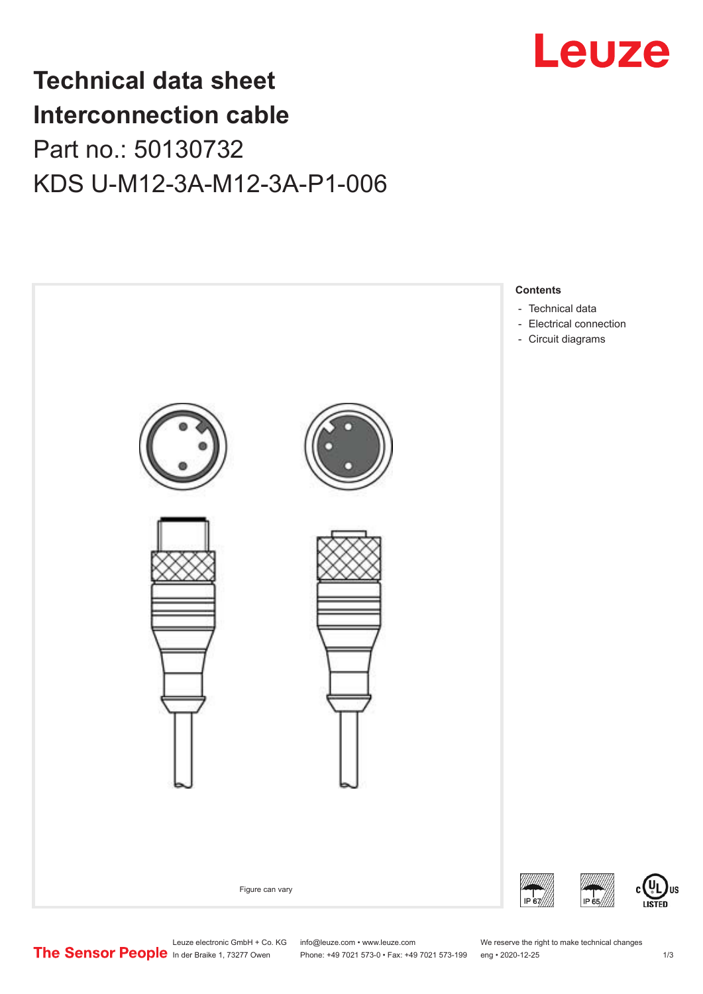

## **Technical data sheet Interconnection cable** Part no.: 50130732 KDS U-M12-3A-M12-3A-P1-006



Leuze electronic GmbH + Co. KG info@leuze.com • www.leuze.com We reserve the right to make technical changes<br> **The Sensor People** in der Braike 1, 73277 Owen Phone: +49 7021 573-0 • Fax: +49 7021 573-199 eng • 2020-12-25

Phone: +49 7021 573-0 • Fax: +49 7021 573-199 eng • 2020-12-25 1 2020-12-25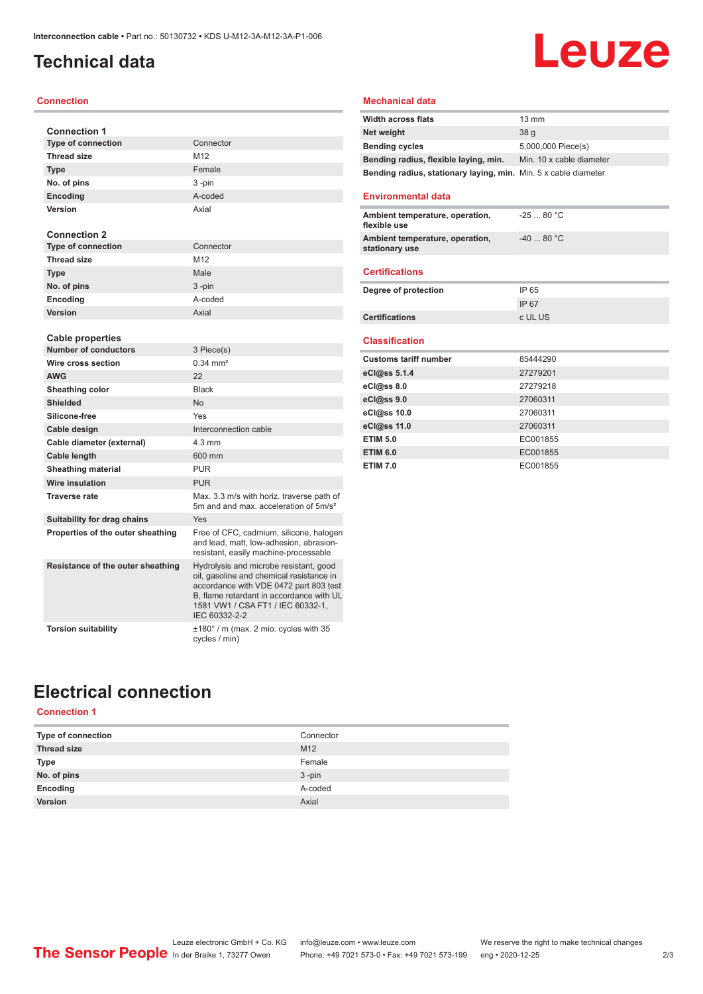### <span id="page-1-0"></span>**Technical data**

#### **Connection**

| <b>Connection 1</b>               |                                                                                                                                                                                                                                |
|-----------------------------------|--------------------------------------------------------------------------------------------------------------------------------------------------------------------------------------------------------------------------------|
| <b>Type of connection</b>         | Connector                                                                                                                                                                                                                      |
| <b>Thread size</b>                | M12                                                                                                                                                                                                                            |
| <b>Type</b>                       | Female                                                                                                                                                                                                                         |
| No. of pins                       | 3-pin                                                                                                                                                                                                                          |
| <b>Encoding</b>                   | A-coded                                                                                                                                                                                                                        |
| Version                           | Axial                                                                                                                                                                                                                          |
|                                   |                                                                                                                                                                                                                                |
| <b>Connection 2</b>               |                                                                                                                                                                                                                                |
| <b>Type of connection</b>         | Connector                                                                                                                                                                                                                      |
| <b>Thread size</b>                | M12                                                                                                                                                                                                                            |
| <b>Type</b>                       | Male                                                                                                                                                                                                                           |
| No. of pins                       | $3$ -pin                                                                                                                                                                                                                       |
| Encoding                          | A-coded                                                                                                                                                                                                                        |
| Version                           | Axial                                                                                                                                                                                                                          |
|                                   |                                                                                                                                                                                                                                |
| Cable properties                  |                                                                                                                                                                                                                                |
| <b>Number of conductors</b>       | 3 Piece(s)                                                                                                                                                                                                                     |
| Wire cross section                | $0.34 \, \text{mm}^2$                                                                                                                                                                                                          |
| <b>AWG</b>                        | 22                                                                                                                                                                                                                             |
| Sheathing color                   | <b>Black</b>                                                                                                                                                                                                                   |
| <b>Shielded</b>                   | <b>No</b>                                                                                                                                                                                                                      |
| Silicone-free                     | Yes                                                                                                                                                                                                                            |
| Cable design                      | Interconnection cable                                                                                                                                                                                                          |
| Cable diameter (external)         | $4.3 \text{ mm}$                                                                                                                                                                                                               |
| Cable length                      | 600 mm                                                                                                                                                                                                                         |
| <b>Sheathing material</b>         | <b>PUR</b>                                                                                                                                                                                                                     |
| Wire insulation                   | <b>PUR</b>                                                                                                                                                                                                                     |
| <b>Traverse rate</b>              | Max. 3.3 m/s with horiz. traverse path of<br>5m and and max, acceleration of 5m/s <sup>2</sup>                                                                                                                                 |
| Suitability for drag chains       | Yes                                                                                                                                                                                                                            |
| Properties of the outer sheathing | Free of CFC, cadmium, silicone, halogen<br>and lead, matt, low-adhesion, abrasion-<br>resistant, easily machine-processable                                                                                                    |
| Resistance of the outer sheathing | Hydrolysis and microbe resistant, good<br>oil, gasoline and chemical resistance in<br>accordance with VDE 0472 part 803 test<br>B, flame retardant in accordance with UL<br>1581 VW1 / CSA FT1 / IEC 60332-1,<br>IEC 60332-2-2 |
| <b>Torsion suitability</b>        | $\pm 180^\circ$ / m (max. 2 mio. cycles with 35<br>cycles / min)                                                                                                                                                               |

### **Mechanical data**

| <b>Width across flats</b>                                       | $13 \text{ mm}$          |
|-----------------------------------------------------------------|--------------------------|
| Net weight                                                      | 38 <sub>q</sub>          |
| <b>Bending cycles</b>                                           | 5,000,000 Piece(s)       |
| Bending radius, flexible laying, min.                           | Min. 10 x cable diameter |
| Bending radius, stationary laying, min. Min. 5 x cable diameter |                          |

**Leuze** 

#### **Environmental data**

| Ambient temperature, operation,<br>flexible use   | $-2580 °C$ |
|---------------------------------------------------|------------|
| Ambient temperature, operation,<br>stationary use | $-4080 °C$ |
|                                                   |            |

### **Certifications**

| Degree of protection  | IP 65   |
|-----------------------|---------|
|                       | IP 67   |
| <b>Certifications</b> | c UL US |

#### **Classification**

| <b>Customs tariff number</b> | 85444290 |
|------------------------------|----------|
| eCl@ss 5.1.4                 | 27279201 |
| eCl@ss 8.0                   | 27279218 |
| eCl@ss 9.0                   | 27060311 |
| eCl@ss 10.0                  | 27060311 |
| eCl@ss 11.0                  | 27060311 |
| <b>ETIM 5.0</b>              | EC001855 |
| <b>ETIM 6.0</b>              | EC001855 |
| <b>ETIM 7.0</b>              | EC001855 |

### **Electrical connection**

### **Connection 1**

| Type of connection | Connector       |
|--------------------|-----------------|
| <b>Thread size</b> | M <sub>12</sub> |
| Type               | Female          |
| No. of pins        | $3 - pin$       |
| Encoding           | A-coded         |
| Version            | Axial           |